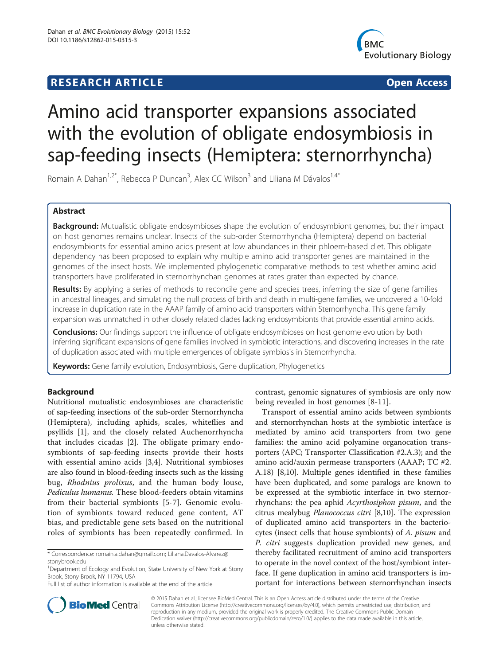# **RESEARCH ARTICLE Example 2014 CONSUMING A RESEARCH ARTICLE**



# Amino acid transporter expansions associated with the evolution of obligate endosymbiosis in sap-feeding insects (Hemiptera: sternorrhyncha)

Romain A Dahan<sup>1,2\*</sup>, Rebecca P Duncan<sup>3</sup>, Alex CC Wilson<sup>3</sup> and Liliana M Dávalos<sup>1,4\*</sup>

# Abstract

Background: Mutualistic obligate endosymbioses shape the evolution of endosymbiont genomes, but their impact on host genomes remains unclear. Insects of the sub-order Sternorrhyncha (Hemiptera) depend on bacterial endosymbionts for essential amino acids present at low abundances in their phloem-based diet. This obligate dependency has been proposed to explain why multiple amino acid transporter genes are maintained in the genomes of the insect hosts. We implemented phylogenetic comparative methods to test whether amino acid transporters have proliferated in sternorrhynchan genomes at rates grater than expected by chance.

Results: By applying a series of methods to reconcile gene and species trees, inferring the size of gene families in ancestral lineages, and simulating the null process of birth and death in multi-gene families, we uncovered a 10-fold increase in duplication rate in the AAAP family of amino acid transporters within Sternorrhyncha. This gene family expansion was unmatched in other closely related clades lacking endosymbionts that provide essential amino acids.

**Conclusions:** Our findings support the influence of obligate endosymbioses on host genome evolution by both inferring significant expansions of gene families involved in symbiotic interactions, and discovering increases in the rate of duplication associated with multiple emergences of obligate symbiosis in Sternorrhyncha.

Keywords: Gene family evolution, Endosymbiosis, Gene duplication, Phylogenetics

# Background

Nutritional mutualistic endosymbioses are characteristic of sap-feeding insections of the sub-order Sternorrhyncha (Hemiptera), including aphids, scales, whiteflies and psyllids [[1\]](#page-9-0), and the closely related Auchenorrhyncha that includes cicadas [[2](#page-9-0)]. The obligate primary endosymbionts of sap-feeding insects provide their hosts with essential amino acids [\[3](#page-9-0),[4\]](#page-9-0). Nutritional symbioses are also found in blood-feeding insects such as the kissing bug, Rhodnius prolixus, and the human body louse, Pediculus humanus. These blood-feeders obtain vitamins from their bacterial symbionts [\[5-7](#page-9-0)]. Genomic evolution of symbionts toward reduced gene content, AT bias, and predictable gene sets based on the nutritional roles of symbionts has been repeatedly confirmed. In

\* Correspondence: [romain.a.dahan@gmail.com](mailto:romain.a.dahan@gmail.com); [Liliana.Davalos-Alvarez@](mailto:Liliana.Davalos-Alvarez@stonybrook.edu) [stonybrook.edu](mailto:Liliana.Davalos-Alvarez@stonybrook.edu)

Full list of author information is available at the end of the article



Transport of essential amino acids between symbionts and sternorrhynchan hosts at the symbiotic interface is mediated by amino acid transporters from two gene families: the amino acid polyamine organocation transporters (APC; Transporter Classification #2.A.3); and the amino acid/auxin permease transporters (AAAP; TC #2. A.18) [\[8,10](#page-9-0)]. Multiple genes identified in these families have been duplicated, and some paralogs are known to be expressed at the symbiotic interface in two sternorrhynchans: the pea aphid Acyrthosiphon pisum, and the citrus mealybug Planococcus citri [[8,10\]](#page-9-0). The expression of duplicated amino acid transporters in the bacteriocytes (insect cells that house symbionts) of A. pisum and P. citri suggests duplication provided new genes, and thereby facilitated recruitment of amino acid transporters to operate in the novel context of the host/symbiont interface. If gene duplication in amino acid transporters is important for interactions between sternorrhynchan insects



© 2015 Dahan et al.; licensee BioMed Central. This is an Open Access article distributed under the terms of the Creative Commons Attribution License [\(http://creativecommons.org/licenses/by/4.0\)](http://creativecommons.org/licenses/by/4.0), which permits unrestricted use, distribution, and reproduction in any medium, provided the original work is properly credited. The Creative Commons Public Domain Dedication waiver [\(http://creativecommons.org/publicdomain/zero/1.0/](http://creativecommons.org/publicdomain/zero/1.0/)) applies to the data made available in this article, unless otherwise stated.

<sup>&</sup>lt;sup>1</sup>Department of Ecology and Evolution, State University of New York at Stony Brook, Stony Brook, NY 11794, USA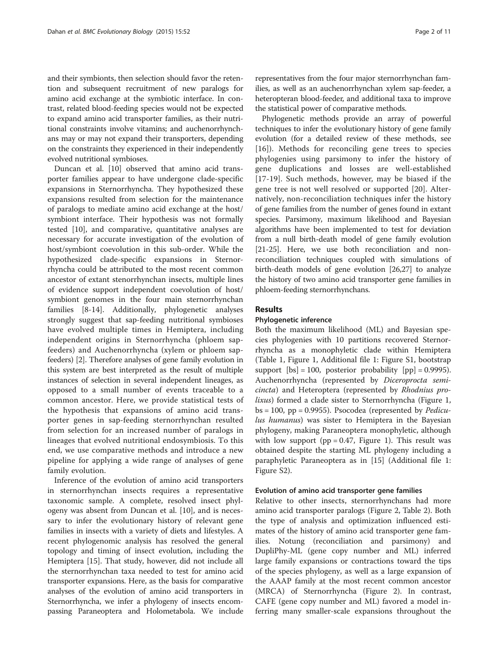and their symbionts, then selection should favor the retention and subsequent recruitment of new paralogs for amino acid exchange at the symbiotic interface. In contrast, related blood-feeding species would not be expected to expand amino acid transporter families, as their nutritional constraints involve vitamins; and auchenorrhynchans may or may not expand their transporters, depending on the constraints they experienced in their independently evolved nutritional symbioses.

Duncan et al. [\[10](#page-9-0)] observed that amino acid transporter families appear to have undergone clade-specific expansions in Sternorrhyncha. They hypothesized these expansions resulted from selection for the maintenance of paralogs to mediate amino acid exchange at the host/ symbiont interface. Their hypothesis was not formally tested [\[10\]](#page-9-0), and comparative, quantitative analyses are necessary for accurate investigation of the evolution of host/symbiont coevolution in this sub-order. While the hypothesized clade-specific expansions in Sternorrhyncha could be attributed to the most recent common ancestor of extant stenorrhynchan insects, multiple lines of evidence support independent coevolution of host/ symbiont genomes in the four main sternorrhynchan families [[8-14](#page-9-0)]. Additionally, phylogenetic analyses strongly suggest that sap-feeding nutritional symbioses have evolved multiple times in Hemiptera, including independent origins in Sternorrhyncha (phloem sapfeeders) and Auchenorrhyncha (xylem or phloem sapfeeders) [[2](#page-9-0)]. Therefore analyses of gene family evolution in this system are best interpreted as the result of multiple instances of selection in several independent lineages, as opposed to a small number of events traceable to a common ancestor. Here, we provide statistical tests of the hypothesis that expansions of amino acid transporter genes in sap-feeding sternorrhynchan resulted from selection for an increased number of paralogs in lineages that evolved nutritional endosymbiosis. To this end, we use comparative methods and introduce a new pipeline for applying a wide range of analyses of gene family evolution.

Inference of the evolution of amino acid transporters in sternorrhynchan insects requires a representative taxonomic sample. A complete, resolved insect phylogeny was absent from Duncan et al. [[10\]](#page-9-0), and is necessary to infer the evolutionary history of relevant gene families in insects with a variety of diets and lifestyles. A recent phylogenomic analysis has resolved the general topology and timing of insect evolution, including the Hemiptera [[15\]](#page-9-0). That study, however, did not include all the sternorrhynchan taxa needed to test for amino acid transporter expansions. Here, as the basis for comparative analyses of the evolution of amino acid transporters in Sternorrhyncha, we infer a phylogeny of insects encompassing Paraneoptera and Holometabola. We include

representatives from the four major sternorrhynchan families, as well as an auchenorrhynchan xylem sap-feeder, a heteropteran blood-feeder, and additional taxa to improve the statistical power of comparative methods.

Phylogenetic methods provide an array of powerful techniques to infer the evolutionary history of gene family evolution (for a detailed review of these methods, see [[16](#page-9-0)]). Methods for reconciling gene trees to species phylogenies using parsimony to infer the history of gene duplications and losses are well-established [[17](#page-9-0)-[19\]](#page-9-0). Such methods, however, may be biased if the gene tree is not well resolved or supported [[20\]](#page-9-0). Alternatively, non-reconciliation techniques infer the history of gene families from the number of genes found in extant species. Parsimony, maximum likelihood and Bayesian algorithms have been implemented to test for deviation from a null birth-death model of gene family evolution [[21](#page-9-0)-[25\]](#page-9-0). Here, we use both reconciliation and nonreconciliation techniques coupled with simulations of birth-death models of gene evolution [[26,27](#page-9-0)] to analyze the history of two amino acid transporter gene families in phloem-feeding sternorrhynchans.

### Results

# Phylogenetic inference

Both the maximum likelihood (ML) and Bayesian species phylogenies with 10 partitions recovered Sternorrhyncha as a monophyletic clade within Hemiptera (Table [1](#page-2-0), Figure [1,](#page-3-0) Additional file [1:](#page-9-0) Figure S1, bootstrap support  $[bs] = 100$ , posterior probability  $[pp] = 0.9995$ . Auchenorrhyncha (represented by Diceroprocta semicincta) and Heteroptera (represented by Rhodnius prolixus) formed a clade sister to Sternorrhyncha (Figure [1](#page-3-0),  $bs = 100$ ,  $pp = 0.9955$ ). Psocodea (represented by *Pedicu*lus humanus) was sister to Hemiptera in the Bayesian phylogeny, making Paraneoptera monophyletic, although with low support ( $pp = 0.47$ , Figure [1\)](#page-3-0). This result was obtained despite the starting ML phylogeny including a paraphyletic Paraneoptera as in [\[15\]](#page-9-0) (Additional file [1](#page-9-0): Figure S2).

#### Evolution of amino acid transporter gene families

Relative to other insects, sternorrhynchans had more amino acid transporter paralogs (Figure [2,](#page-4-0) Table [2\)](#page-5-0). Both the type of analysis and optimization influenced estimates of the history of amino acid transporter gene families. Notung (reconciliation and parsimony) and DupliPhy-ML (gene copy number and ML) inferred large family expansions or contractions toward the tips of the species phylogeny, as well as a large expansion of the AAAP family at the most recent common ancestor (MRCA) of Sternorrhyncha (Figure [2](#page-4-0)). In contrast, CAFE (gene copy number and ML) favored a model inferring many smaller-scale expansions throughout the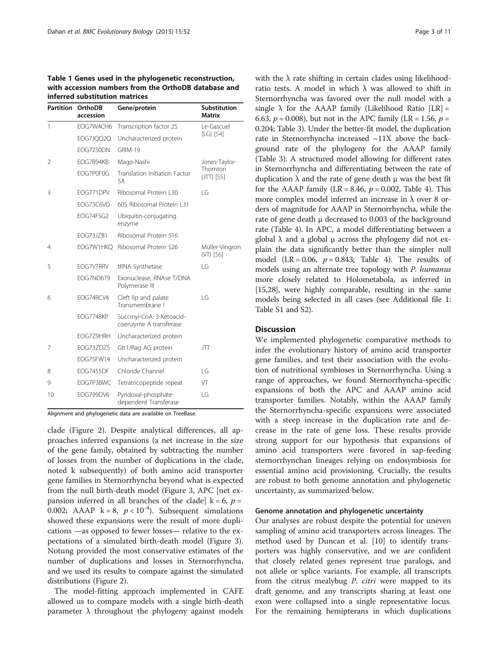<span id="page-2-0"></span>Table 1 Genes used in the phylogenetic reconstruction, with accession numbers from the OrthoDB database and inferred substitution matrices

| <b>Partition</b> | OrthoDB<br>accession | Gene/protein                                        | Substitution<br><b>Matrix</b> |  |
|------------------|----------------------|-----------------------------------------------------|-------------------------------|--|
| 1                | EOG7W4CH6            | Transcription factor 2S                             | Le-Gascuel<br>(LG) [54]       |  |
|                  | EOG7JQQ2Q            | Uncharacterized protein                             |                               |  |
|                  | EOG72S0DN            | GRIM-19                                             |                               |  |
| 2                | EOG7B94KB            | Mago-Nashi                                          | Jones-Taylor-                 |  |
|                  | EOG7P0F0G            | Translation Initiation Factor<br>5Α                 | Thornton<br>$(JTT)$ [55]      |  |
| 3                | EOG771DPV            | Ribosomal Protein L30                               | I G                           |  |
|                  | EOG73C6VD            | 60S Ribosomal Protein L31                           |                               |  |
|                  | EOG74FSG2            | Ubiquitin-conjugating<br>enzyme                     |                               |  |
|                  | EOG73JZB1            | Ribosomal Protein S16                               |                               |  |
| 4                | EOG7W1HKQ            | Ribosomal Protein S26                               | Müller-Vingron<br>(VT) [56]   |  |
| 5                | <b>EOG7VTRRV</b>     | tRNA Synthetase                                     | LG                            |  |
|                  | EOG7ND679            | Exonuclease, RNAse T/DNA<br>Polymerase III          |                               |  |
| 6                | EOG74RCV4            | Cleft lip and palate<br>Transmembrane I             | I G                           |  |
|                  | EOG7748KP            | Succinyl-CoA: 3-Ketoacid-<br>coenzyme A transferase |                               |  |
|                  | EOG7Z9HRH            | Uncharacterized protein                             |                               |  |
| 7                | FOG737D75            | Gtr1/Rag AG protein                                 | JTT                           |  |
|                  | FOG7SFW14            | Uncharacterized protein                             |                               |  |
| 8                | <b>EOG7455DF</b>     | Chloride Channel                                    | LG                            |  |
| 9                | EOG7P38WC            | Tetratricopeptide repeat                            | VT                            |  |
| 10               | EOG799DV6            | Pyridoxal-phosphate-<br>dependent Transferase       | LG                            |  |

Alignment and phylogenetic data are available on TreeBase.

clade (Figure [2\)](#page-4-0). Despite analytical differences, all approaches inferred expansions (a net increase in the size of the gene family, obtained by subtracting the number of losses from the number of duplications in the clade, noted k subsequently) of both amino acid transporter gene families in Sternorrhyncha beyond what is expected from the null birth-death model (Figure [3](#page-5-0), APC [net expansion inferred in all branches of the clade]  $k = 6$ ,  $p =$ 0.002; AAAP  $k = 8$ ,  $p < 10^{-4}$ ). Subsequent simulations showed these expansions were the result of more duplications —as opposed to fewer losses— relative to the expectations of a simulated birth-death model (Figure [3](#page-5-0)). Notung provided the most conservative estimates of the number of duplications and losses in Sternorrhyncha, and we used its results to compare against the simulated distributions (Figure [2\)](#page-4-0).

The model-fitting approach implemented in CAFE allowed us to compare models with a single birth-death parameter  $\lambda$  throughout the phylogeny against models with the  $\lambda$  rate shifting in certain clades using likelihoodratio tests. A model in which  $\lambda$  was allowed to shift in Sternorrhyncha was favored over the null model with a single  $\lambda$  for the AAAP family (Likelihood Ratio [LR] = 6.63,  $p = 0.008$ ), but not in the APC family (LR = 1.56,  $p =$ 0.204; Table [3\)](#page-6-0). Under the better-fit model, the duplication rate in Sternorrhyncha increased ~11X above the background rate of the phylogeny for the AAAP family (Table [3\)](#page-6-0). A structured model allowing for different rates in Sternorrhyncha and differentiating between the rate of duplication λ and the rate of gene death μ was the best fit for the AAAP family (LR = 8.46,  $p = 0.002$ , Table [4\)](#page-6-0). This more complex model inferred an increase in  $λ$  over 8 orders of magnitude for AAAP in Sternorrhyncha, while the rate of gene death μ decreased to 0.003 of the background rate (Table [4\)](#page-6-0). In APC, a model differentiating between a global  $\lambda$  and a global  $\mu$  across the phylogeny did not explain the data significantly better than the simpler null model (LR = 0.06,  $p = 0.843$ ; Table [4](#page-6-0)). The results of models using an alternate tree topology with P. humanus more closely related to Holometabola, as inferred in [[15,28](#page-9-0)], were highly comparable, resulting in the same models being selected in all cases (see Additional file [1](#page-9-0): Table S1 and S2).

# Discussion

We implemented phylogenetic comparative methods to infer the evolutionary history of amino acid transporter gene families, and test their association with the evolution of nutritional symbioses in Sternorrhyncha. Using a range of approaches, we found Sternorrhyncha-specific expansions of both the APC and AAAP amino acid transporter families. Notably, within the AAAP family the Sternorrhyncha-specific expansions were associated with a steep increase in the duplication rate and decrease in the rate of gene loss. These results provide strong support for our hypothesis that expansions of amino acid transporters were favored in sap-feeding sternorrhynchan lineages relying on endosymbiosis for essential amino acid provisioning. Crucially, the results are robust to both genome annotation and phylogenetic uncertainty, as summarized below.

#### Genome annotation and phylogenetic uncertainty

Our analyses are robust despite the potential for uneven sampling of amino acid transporters across lineages. The method used by Duncan et al. [\[10](#page-9-0)] to identify transporters was highly conservative, and we are confident that closely related genes represent true paralogs, and not allele or splice variants. For example, all transcripts from the citrus mealybug P. citri were mapped to its draft genome, and any transcripts sharing at least one exon were collapsed into a single representative locus. For the remaining hemipterans in which duplications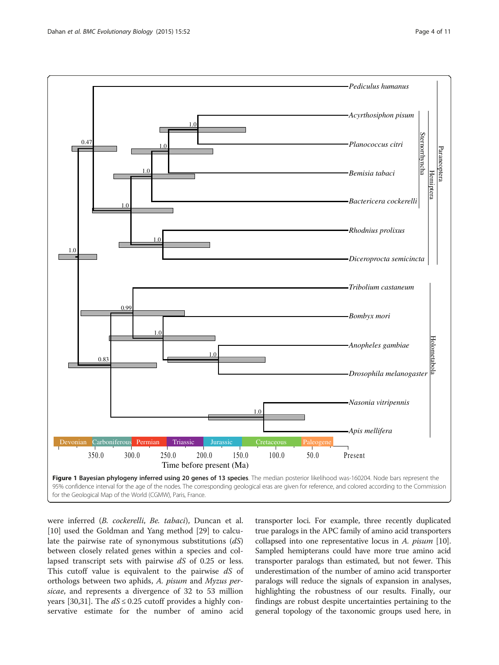<span id="page-3-0"></span>

were inferred (B. cockerelli, Be. tabaci), Duncan et al. [[10\]](#page-9-0) used the Goldman and Yang method [\[29](#page-9-0)] to calculate the pairwise rate of synonymous substitutions  $(dS)$ between closely related genes within a species and collapsed transcript sets with pairwise dS of 0.25 or less. This cutoff value is equivalent to the pairwise  $dS$  of orthologs between two aphids, A. pisum and Myzus persicae, and represents a divergence of 32 to 53 million years [[30](#page-9-0),[31](#page-9-0)]. The  $dS \le 0.25$  cutoff provides a highly conservative estimate for the number of amino acid transporter loci. For example, three recently duplicated true paralogs in the APC family of amino acid transporters collapsed into one representative locus in A. pisum [[10](#page-9-0)]. Sampled hemipterans could have more true amino acid transporter paralogs than estimated, but not fewer. This underestimation of the number of amino acid transporter paralogs will reduce the signals of expansion in analyses, highlighting the robustness of our results. Finally, our findings are robust despite uncertainties pertaining to the general topology of the taxonomic groups used here, in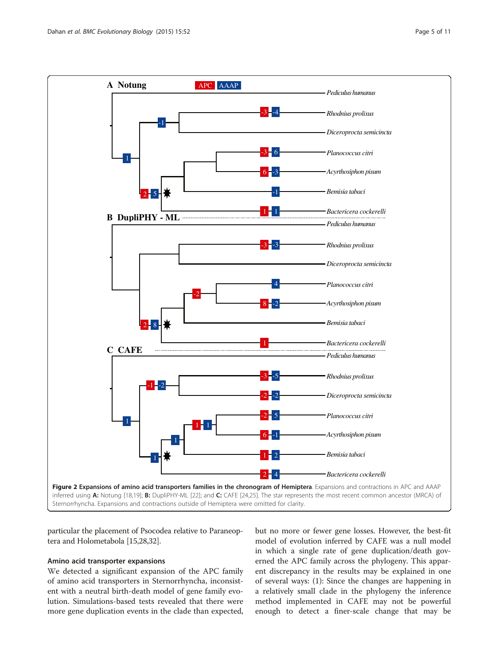<span id="page-4-0"></span>

particular the placement of Psocodea relative to Paraneoptera and Holometabola [\[15,28](#page-9-0),[32](#page-10-0)].

# Amino acid transporter expansions

We detected a significant expansion of the APC family of amino acid transporters in Sternorrhyncha, inconsistent with a neutral birth-death model of gene family evolution. Simulations-based tests revealed that there were more gene duplication events in the clade than expected,

but no more or fewer gene losses. However, the best-fit model of evolution inferred by CAFE was a null model in which a single rate of gene duplication/death governed the APC family across the phylogeny. This apparent discrepancy in the results may be explained in one of several ways: (1): Since the changes are happening in a relatively small clade in the phylogeny the inference method implemented in CAFE may not be powerful enough to detect a finer-scale change that may be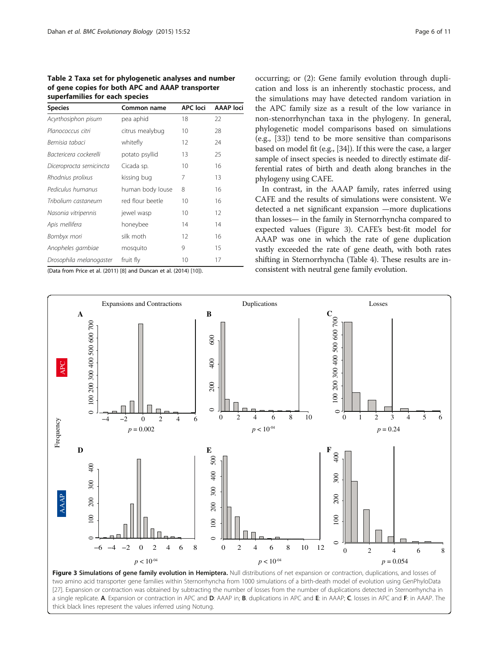<span id="page-5-0"></span>Table 2 Taxa set for phylogenetic analyses and number of gene copies for both APC and AAAP transporter superfamilies for each species

| <b>Species</b>          | Common name      | <b>APC loci</b> | <b>AAAP</b> loci |  |
|-------------------------|------------------|-----------------|------------------|--|
| Acyrthosiphon pisum     | pea aphid        | 18              | 22               |  |
| Planococcus citri       | citrus mealybug  | 10              | 28               |  |
| Bemisia tabaci          | whitefly         | 12              | 24               |  |
| Bactericera cockerelli  | potato psyllid   | 13              | 25               |  |
| Diceroprocta semicincta | Cicada sp.       | 10              | 16               |  |
| Rhodnius prolixus       | kissing bug      | 7               | 13               |  |
| Pediculus humanus       | human body louse | 8               | 16               |  |
| Tribolium castaneum     | red flour beetle | 10              | 16               |  |
| Nasonia vitripennis     | jewel wasp       | 10              | 12               |  |
| Apis mellifera          | honeybee         | 14              | 14               |  |
| Bombyx mori             | silk moth        | 12              | 16               |  |
| Anopheles gambiae       | mosquito         | 9               | 15               |  |
| Drosophila melanogaster | fruit fly        | 10              | 17               |  |

(Data from Price et al. (2011) [\[8\]](#page-9-0) and Duncan et al. (2014) [[10\]](#page-9-0)).

occurring; or (2): Gene family evolution through duplication and loss is an inherently stochastic process, and the simulations may have detected random variation in the APC family size as a result of the low variance in non-stenorrhynchan taxa in the phylogeny. In general, phylogenetic model comparisons based on simulations (e.g., [[33\]](#page-10-0)) tend to be more sensitive than comparisons based on model fit (e.g., [[34](#page-10-0)]). If this were the case, a larger sample of insect species is needed to directly estimate differential rates of birth and death along branches in the phylogeny using CAFE.

In contrast, in the AAAP family, rates inferred using CAFE and the results of simulations were consistent. We detected a net significant expansion —more duplications than losses— in the family in Sternorrhyncha compared to expected values (Figure 3). CAFE's best-fit model for AAAP was one in which the rate of gene duplication vastly exceeded the rate of gene death, with both rates shifting in Sternorrhyncha (Table [4\)](#page-6-0). These results are inconsistent with neutral gene family evolution.



Figure 3 Simulations of gene family evolution in Hemiptera. Null distributions of net expansion or contraction, duplications, and losses of two amino acid transporter gene families within Sternorrhyncha from 1000 simulations of a birth-death model of evolution using GenPhyloData [[27](#page-9-0)]. Expansion or contraction was obtained by subtracting the number of losses from the number of duplications detected in Sternorrhyncha in a single replicate. A. Expansion or contraction in APC and D: AAAP in; B. duplications in APC and E: in AAAP; C. losses in APC and F: in AAAP. The thick black lines represent the values inferred using Notung.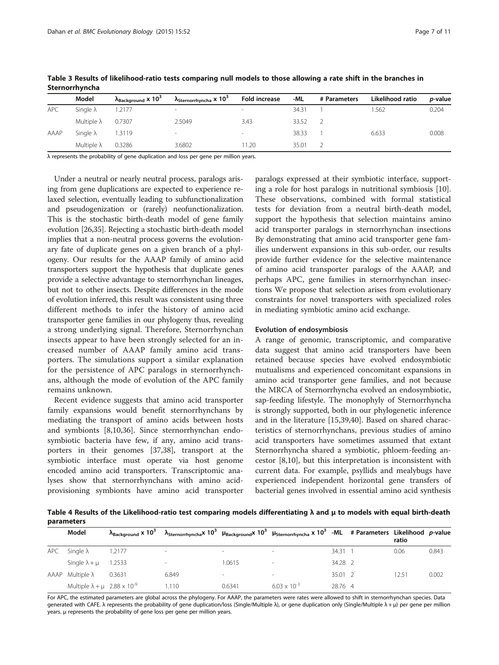|            | Model              | $\lambda_{\text{Background}}$ x $10^3$ | $\lambda$ Sternorrhyncha X $10^3$ | Fold increase | -ML   | # Parameters | Likelihood ratio | <i>p</i> -value |
|------------|--------------------|----------------------------------------|-----------------------------------|---------------|-------|--------------|------------------|-----------------|
| <b>APC</b> | Single $\lambda$   | 1.2177                                 |                                   | $\sim$        | 34.31 |              | 1.562            | 0.204           |
|            | Multiple $\lambda$ | 0.7307                                 | 2.5049                            | 3.43          | 33.52 |              |                  |                 |
| AAAP       | Single $\lambda$   | 1.3119                                 | $\overline{\phantom{a}}$          |               | 38.33 |              | 6.633            | 0.008           |
|            | Multiple $\lambda$ | 0.3286                                 | 3.6802                            | 11.20         | 35.01 |              |                  |                 |

<span id="page-6-0"></span>Table 3 Results of likelihood-ratio tests comparing null models to those allowing a rate shift in the branches in Sternorrhyncha

λ represents the probability of gene duplication and loss per gene per million years.

Under a neutral or nearly neutral process, paralogs arising from gene duplications are expected to experience relaxed selection, eventually leading to subfunctionalization and pseudogenization or (rarely) neofunctionalization. This is the stochastic birth-death model of gene family evolution [[26,](#page-9-0)[35](#page-10-0)]. Rejecting a stochastic birth-death model implies that a non-neutral process governs the evolutionary fate of duplicate genes on a given branch of a phylogeny. Our results for the AAAP family of amino acid transporters support the hypothesis that duplicate genes provide a selective advantage to sternorrhynchan lineages, but not to other insects. Despite differences in the mode of evolution inferred, this result was consistent using three different methods to infer the history of amino acid transporter gene families in our phylogeny thus, revealing a strong underlying signal. Therefore, Sternorrhynchan insects appear to have been strongly selected for an increased number of AAAP family amino acid transporters. The simulations support a similar explanation for the persistence of APC paralogs in sternorrhynchans, although the mode of evolution of the APC family remains unknown.

Recent evidence suggests that amino acid transporter family expansions would benefit sternorrhynchans by mediating the transport of amino acids between hosts and symbionts [\[8,10](#page-9-0)[,36](#page-10-0)]. Since sternorrhynchan endosymbiotic bacteria have few, if any, amino acid transporters in their genomes [\[37,38](#page-10-0)], transport at the symbiotic interface must operate via host genome encoded amino acid transporters. Transcriptomic analyses show that sternorrhynchans with amino acidprovisioning symbionts have amino acid transporter

paralogs expressed at their symbiotic interface, supporting a role for host paralogs in nutritional symbiosis [\[10](#page-9-0)]. These observations, combined with formal statistical tests for deviation from a neutral birth-death model, support the hypothesis that selection maintains amino acid transporter paralogs in sternorrhynchan insections By demonstrating that amino acid transporter gene families underwent expansions in this sub-order, our results provide further evidence for the selective maintenance of amino acid transporter paralogs of the AAAP, and perhaps APC, gene families in sternorrhynchan insections We propose that selection arises from evolutionary constraints for novel transporters with specialized roles in mediating symbiotic amino acid exchange.

#### Evolution of endosymbiosis

A range of genomic, transcriptomic, and comparative data suggest that amino acid transporters have been retained because species have evolved endosymbiotic mutualisms and experienced concomitant expansions in amino acid transporter gene families, and not because the MRCA of Sternorrhyncha evolved an endosymbiotic, sap-feeding lifestyle. The monophyly of Sternorrhyncha is strongly supported, both in our phylogenetic inference and in the literature [[15,](#page-9-0)[39](#page-10-0),[40](#page-10-0)]. Based on shared characteristics of sternorrhynchans, previous studies of amino acid transporters have sometimes assumed that extant Sternorrhyncha shared a symbiotic, phloem-feeding ancestor [\[8,10\]](#page-9-0), but this interpretation is inconsistent with current data. For example, psyllids and mealybugs have experienced independent horizontal gene transfers of bacterial genes involved in essential amino acid synthesis

Table 4 Results of the Likelihood-ratio test comparing models differentiating λ and μ to models with equal birth-death parameters

|      | Model                                            | $\lambda_{\sf Background}$ X $10^3$ |                          |        | $\lambda$ SternorrhynchaX 10 <sup>3</sup> µBackgroundX 10 <sup>3</sup> µSternorrhyncha X 10 <sup>3</sup> -ML # Parameters Likelihood p-value |         | ratio |       |
|------|--------------------------------------------------|-------------------------------------|--------------------------|--------|----------------------------------------------------------------------------------------------------------------------------------------------|---------|-------|-------|
| APC. | Single $\lambda$                                 | 1.2177                              | $\sim$                   | $\;$   |                                                                                                                                              | 34.31 1 | 0.06  | 0.843 |
|      | Single $\lambda + \mu$ 1.2533                    |                                     | $\overline{\phantom{a}}$ | 1.0615 |                                                                                                                                              | 34.28 2 |       |       |
|      | $AAAP$ Multiple $\lambda$                        | 0.3631                              | 6.849                    | $\sim$ |                                                                                                                                              | 35.01 2 | 2.51  | 0.002 |
|      | Multiple $\lambda + \mu$ 2.88 x 10 <sup>-9</sup> |                                     | 1.110                    | 0.6341 | $6.03 \times 10^{-3}$                                                                                                                        | 28.76 4 |       |       |

For APC, the estimated parameters are global across the phylogeny. For AAAP, the parameters were rates were allowed to shift in sternorrhynchan species. Data generated with CAFE. λ represents the probability of gene duplication/loss (Single/Multiple λ), or gene duplication only (Single/Multiple λ + μ) per gene per million years. μ represents the probability of gene loss per gene per million years.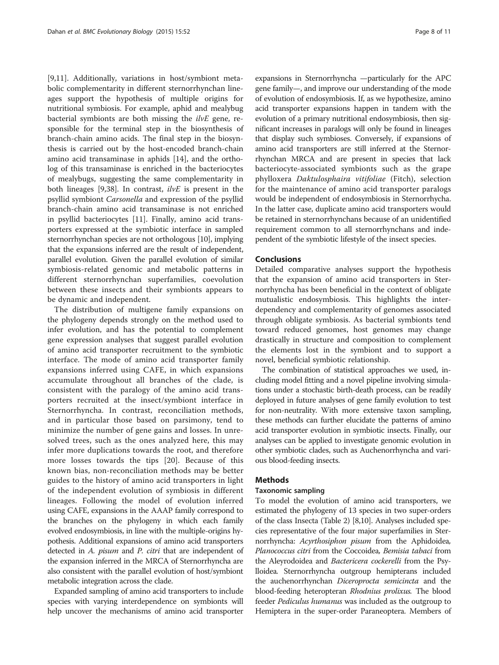[[9,11\]](#page-9-0). Additionally, variations in host/symbiont metabolic complementarity in different sternorrhynchan lineages support the hypothesis of multiple origins for nutritional symbiosis. For example, aphid and mealybug bacterial symbionts are both missing the  $ilvE$  gene, responsible for the terminal step in the biosynthesis of branch-chain amino acids. The final step in the biosynthesis is carried out by the host-encoded branch-chain amino acid transaminase in aphids [[14\]](#page-9-0), and the ortholog of this transaminase is enriched in the bacteriocytes of mealybugs, suggesting the same complementarity in both lineages [[9,](#page-9-0)[38\]](#page-10-0). In contrast,  $ilvE$  is present in the psyllid symbiont Carsonella and expression of the psyllid branch-chain amino acid transaminase is not enriched in psyllid bacteriocytes [\[11](#page-9-0)]. Finally, amino acid transporters expressed at the symbiotic interface in sampled sternorrhynchan species are not orthologous [[10](#page-9-0)], implying that the expansions inferred are the result of independent, parallel evolution. Given the parallel evolution of similar symbiosis-related genomic and metabolic patterns in different sternorrhynchan superfamilies, coevolution between these insects and their symbionts appears to be dynamic and independent.

The distribution of multigene family expansions on the phylogeny depends strongly on the method used to infer evolution, and has the potential to complement gene expression analyses that suggest parallel evolution of amino acid transporter recruitment to the symbiotic interface. The mode of amino acid transporter family expansions inferred using CAFE, in which expansions accumulate throughout all branches of the clade, is consistent with the paralogy of the amino acid transporters recruited at the insect/symbiont interface in Sternorrhyncha. In contrast, reconciliation methods, and in particular those based on parsimony, tend to minimize the number of gene gains and losses. In unresolved trees, such as the ones analyzed here, this may infer more duplications towards the root, and therefore more losses towards the tips [[20](#page-9-0)]. Because of this known bias, non-reconciliation methods may be better guides to the history of amino acid transporters in light of the independent evolution of symbiosis in different lineages. Following the model of evolution inferred using CAFE, expansions in the AAAP family correspond to the branches on the phylogeny in which each family evolved endosymbiosis, in line with the multiple-origins hypothesis. Additional expansions of amino acid transporters detected in A. *pisum* and P. *citri* that are independent of the expansion inferred in the MRCA of Sternorrhyncha are also consistent with the parallel evolution of host/symbiont metabolic integration across the clade.

Expanded sampling of amino acid transporters to include species with varying interdependence on symbionts will help uncover the mechanisms of amino acid transporter

expansions in Sternorrhyncha —particularly for the APC gene family—, and improve our understanding of the mode of evolution of endosymbiosis. If, as we hypothesize, amino acid transporter expansions happen in tandem with the evolution of a primary nutritional endosymbiosis, then significant increases in paralogs will only be found in lineages that display such symbioses. Conversely, if expansions of amino acid transporters are still inferred at the Sternorrhynchan MRCA and are present in species that lack bacteriocyte-associated symbionts such as the grape phylloxera Daktulosphaira vitifoliae (Fitch), selection for the maintenance of amino acid transporter paralogs would be independent of endosymbiosis in Sternorrhycha. In the latter case, duplicate amino acid transporters would be retained in sternorrhynchans because of an unidentified requirement common to all sternorrhynchans and independent of the symbiotic lifestyle of the insect species.

# **Conclusions**

Detailed comparative analyses support the hypothesis that the expansion of amino acid transporters in Sternorrhyncha has been beneficial in the context of obligate mutualistic endosymbiosis. This highlights the interdependency and complementarity of genomes associated through obligate symbiosis. As bacterial symbionts tend toward reduced genomes, host genomes may change drastically in structure and composition to complement the elements lost in the symbiont and to support a novel, beneficial symbiotic relationship.

The combination of statistical approaches we used, including model fitting and a novel pipeline involving simulations under a stochastic birth-death process, can be readily deployed in future analyses of gene family evolution to test for non-neutrality. With more extensive taxon sampling, these methods can further elucidate the patterns of amino acid transporter evolution in symbiotic insects. Finally, our analyses can be applied to investigate genomic evolution in other symbiotic clades, such as Auchenorrhyncha and various blood-feeding insects.

# Methods

# Taxonomic sampling

To model the evolution of amino acid transporters, we estimated the phylogeny of 13 species in two super-orders of the class Insecta (Table [2\)](#page-5-0) [[8,10](#page-9-0)]. Analyses included species representative of the four major superfamilies in Sternorrhyncha: Acyrthosiphon pisum from the Aphidoidea, Planococcus citri from the Coccoidea, Bemisia tabaci from the Aleyrodoidea and Bactericera cockerelli from the Psylloidea. Sternorrhyncha outgroup hemipterans included the auchenorrhynchan Diceroprocta semicincta and the blood-feeding heteropteran Rhodnius prolixus. The blood feeder Pediculus humanus was included as the outgroup to Hemiptera in the super-order Paraneoptera. Members of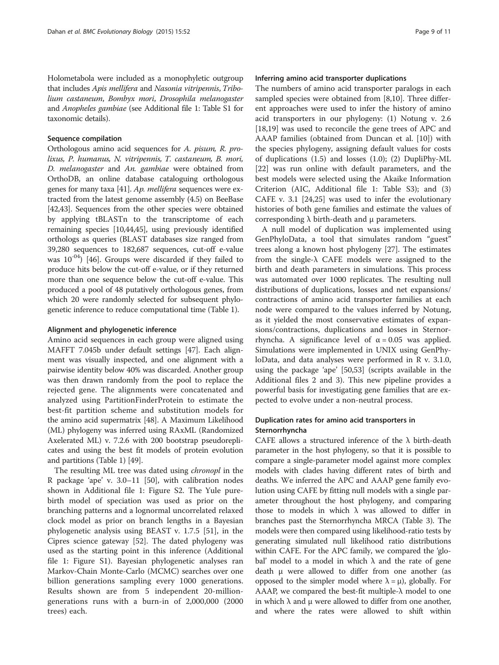Holometabola were included as a monophyletic outgroup that includes Apis mellifera and Nasonia vitripennis, Tribolium castaneum, Bombyx mori, Drosophila melanogaster and Anopheles gambiae (see Additional file [1:](#page-9-0) Table S1 for taxonomic details).

# Sequence compilation

Orthologous amino acid sequences for A. pisum, R. prolixus, P. humanus, N. vitripennis, T. castaneum, B. mori, D. melanogaster and An. gambiae were obtained from OrthoDB, an online database cataloguing orthologous genes for many taxa [\[41\]](#page-10-0). Ap. mellifera sequences were extracted from the latest genome assembly (4.5) on BeeBase [[42,43](#page-10-0)]. Sequences from the other species were obtained by applying tBLASTn to the transcriptome of each remaining species [\[10,](#page-9-0)[44,45](#page-10-0)], using previously identified orthologs as queries (BLAST databases size ranged from 39,280 sequences to 182,687 sequences, cut-off e-value was  $10^{-04}$ ) [\[46\]](#page-10-0). Groups were discarded if they failed to produce hits below the cut-off e-value, or if they returned more than one sequence below the cut-off e-value. This produced a pool of 48 putatively orthologous genes, from which 20 were randomly selected for subsequent phylogenetic inference to reduce computational time (Table [1](#page-2-0)).

# Alignment and phylogenetic inference

Amino acid sequences in each group were aligned using MAFFT 7.045b under default settings [\[47\]](#page-10-0). Each alignment was visually inspected, and one alignment with a pairwise identity below 40% was discarded. Another group was then drawn randomly from the pool to replace the rejected gene. The alignments were concatenated and analyzed using PartitionFinderProtein to estimate the best-fit partition scheme and substitution models for the amino acid supermatrix [[48](#page-10-0)]. A Maximum Likelihood (ML) phylogeny was inferred using RAxML (Randomized Axelerated ML) v. 7.2.6 with 200 bootstrap pseudoreplicates and using the best fit models of protein evolution and partitions (Table [1](#page-2-0)) [[49](#page-10-0)].

The resulting ML tree was dated using *chronopl* in the R package 'ape' v. 3.0–11 [\[50](#page-10-0)], with calibration nodes shown in Additional file [1:](#page-9-0) Figure S2. The Yule purebirth model of speciation was used as prior on the branching patterns and a lognormal uncorrelated relaxed clock model as prior on branch lengths in a Bayesian phylogenetic analysis using BEAST v. 1.7.5 [[51\]](#page-10-0), in the Cipres science gateway [[52](#page-10-0)]. The dated phylogeny was used as the starting point in this inference (Additional file [1:](#page-9-0) Figure S1). Bayesian phylogenetic analyses ran Markov-Chain Monte-Carlo (MCMC) searches over one billion generations sampling every 1000 generations. Results shown are from 5 independent 20-milliongenerations runs with a burn-in of 2,000,000 (2000 trees) each.

#### Inferring amino acid transporter duplications

The numbers of amino acid transporter paralogs in each sampled species were obtained from [[8,10\]](#page-9-0). Three different approaches were used to infer the history of amino acid transporters in our phylogeny: (1) Notung v. 2.6 [[18,19\]](#page-9-0) was used to reconcile the gene trees of APC and AAAP families (obtained from Duncan et al. [[10](#page-9-0)]) with the species phylogeny, assigning default values for costs of duplications (1.5) and losses (1.0); (2) DupliPhy-ML [[22\]](#page-9-0) was run online with default parameters, and the best models were selected using the Akaike Information Criterion (AIC, Additional file [1:](#page-9-0) Table S3); and (3) CAFE v. 3.1 [\[24,25](#page-9-0)] was used to infer the evolutionary histories of both gene families and estimate the values of corresponding λ birth-death and μ parameters.

A null model of duplication was implemented using GenPhyloData, a tool that simulates random "guest" trees along a known host phylogeny [\[27](#page-9-0)]. The estimates from the single-λ CAFE models were assigned to the birth and death parameters in simulations. This process was automated over 1000 replicates. The resulting null distributions of duplications, losses and net expansions/ contractions of amino acid transporter families at each node were compared to the values inferred by Notung, as it yielded the most conservative estimates of expansions/contractions, duplications and losses in Sternorrhyncha. A significance level of  $\alpha = 0.05$  was applied. Simulations were implemented in UNIX using GenPhyloData, and data analyses were performed in R v. 3.1.0, using the package 'ape' [\[50,53](#page-10-0)] (scripts available in the Additional files [2](#page-9-0) and [3\)](#page-9-0). This new pipeline provides a powerful basis for investigating gene families that are expected to evolve under a non-neutral process.

# Duplication rates for amino acid transporters in **Sternorrhyncha**

CAFE allows a structured inference of the  $\lambda$  birth-death parameter in the host phylogeny, so that it is possible to compare a single-parameter model against more complex models with clades having different rates of birth and deaths. We inferred the APC and AAAP gene family evolution using CAFE by fitting null models with a single parameter throughout the host phylogeny, and comparing those to models in which  $λ$  was allowed to differ in branches past the Sternorrhyncha MRCA (Table [3](#page-6-0)). The models were then compared using likelihood-ratio tests by generating simulated null likelihood ratio distributions within CAFE. For the APC family, we compared the 'global' model to a model in which  $\lambda$  and the rate of gene death μ were allowed to differ from one another (as opposed to the simpler model where  $λ = μ$ ), globally. For AAAP, we compared the best-fit multiple-λ model to one in which  $λ$  and  $μ$  were allowed to differ from one another, and where the rates were allowed to shift within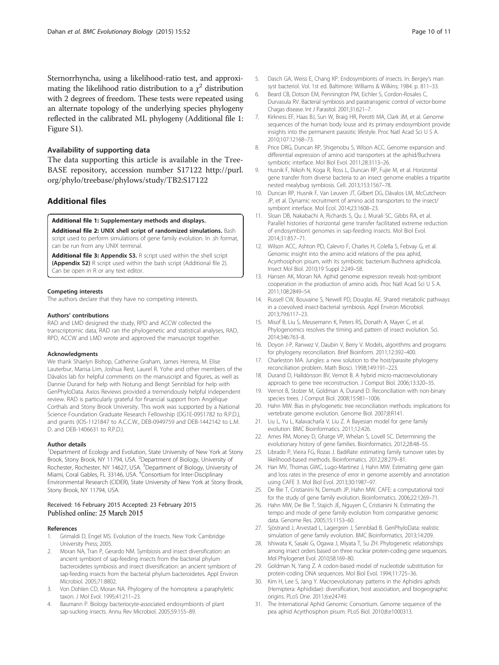<span id="page-9-0"></span>Sternorrhyncha, using a likelihood-ratio test, and approximating the likelihood ratio distribution to a  $\chi^2$  distribution with 2 degrees of freedom. These tests were repeated using an alternate topology of the underlying species phylogeny reflected in the calibrated ML phylogeny (Additional file 1: Figure S1).

#### Availability of supporting data

The data supporting this article is available in the Tree-BASE repository, accession number S17122 [http://purl.](http://purl.org/phylo/treebase/phylows/study/TB2:S17122) [org/phylo/treebase/phylows/study/TB2:S17122](http://purl.org/phylo/treebase/phylows/study/TB2:S17122)

# Additional files

[Additional file 1:](http://www.biomedcentral.com/content/supplementary/s12862-015-0315-3-s1.pdf) Supplementary methods and displays.

[Additional file 2:](http://www.biomedcentral.com/content/supplementary/s12862-015-0315-3-s2.zip) UNIX shell script of randomized simulations. Bash script used to perform simulations of gene family evolution. In .sh format, can be run from any UNIX terminal.

[Additional file 3:](http://www.biomedcentral.com/content/supplementary/s12862-015-0315-3-s3.zip) Appendix S3. R script used within the shell script (Appendix S2) R script used within the bash script (Additional file 2). Can be open in R or any text editor.

#### Competing interests

The authors declare that they have no competing interests.

#### Authors' contributions

RAD and LMD designed the study, RPD and ACCW collected the transcriptomic data, RAD ran the phylogenetic and statistical analyses, RAD, RPD, ACCW and LMD wrote and approved the manuscript together.

#### Acknowledgments

We thank Shaelyn Bishop, Catherine Graham, James Herrera, M. Elise Lauterbur, Marisa Lim, Joshua Rest, Laurel R. Yohe and other members of the Dávalos lab for helpful comments on the manuscript and figures, as well as Dannie Durand for help with Notung and Bengt Sennblad for help with GenPhyloData. Axios Reviews provided a tremendously helpful independent review. RAD is particularly grateful for financial support from Angélique Corthals and Stony Brook University. This work was supported by a National Science Foundation Graduate Research Fellowship (DG1E-0951782 to R.P.D.), and grants (IOS-1121847 to A.C.C.W., DEB-0949759 and DEB-1442142 to L.M. D. and DEB-1406631 to R.P.D.).

#### Author details

<sup>1</sup>Department of Ecology and Evolution, State University of New York at Stony Brook, Stony Brook, NY 11794, USA. <sup>2</sup>Department of Biology, University of Rochester, Rochester, NY 14627, USA. <sup>3</sup>Department of Biology, University of Miami, Coral Gables, FL 33146, USA. <sup>4</sup>Consortium for Inter-Disciplinary Environmental Research (CIDER), State University of New York at Stony Brook, Stony Brook, NY 11794, USA.

# Received: 16 February 2015 Accepted: 23 February 2015<br>Published online: 25 March 2015

#### References

- 1. Grimaldi D, Engel MS. Evolution of the Insects. New York: Cambridge University Press; 2005.
- 2. Moran NA, Tran P, Gerardo NM. Symbiosis and insect diversification: an ancient symbiont of sap-feeding insects from the bacterial phylum bacteroidetes symbiosis and insect diversification: an ancient symbiont of sap-feeding insects from the bacterial phylum bacteroidetes. Appl Environ Microbiol. 2005;71:8802.
- Von Dohlen CD, Moran NA. Phylogeny of the homoptera: a paraphyletic taxon. J Mol Evol. 1995;41:211–23.
- 4. Baumann P. Biology bacteriocyte-associated endosymbionts of plant sap-sucking insects. Annu Rev Microbiol. 2005;59:155–89.
- 5. Dasch GA, Weiss E, Chang KP. Endosymbionts of insects. In: Bergey's man syst bacteriol. Vol. 1st ed. Baltimore: Williams & Wilkins; 1984. p. 811–33.
- 6. Beard CB, Dotson EM, Pennington PM, Eichler S, Cordon-Rosales C, Durvasula RV. Bacterial symbiosis and paratransgenic control of vector-borne Chagas disease. Int J Parasitol. 2001;31:621–7.
- Kirkness EF, Haas BJ, Sun W, Braig HR, Perotti MA, Clark JM, et al. Genome sequences of the human body louse and its primary endosymbiont provide insights into the permanent parasitic lifestyle. Proc Natl Acad Sci U S A. 2010;107:12168–73.
- 8. Price DRG, Duncan RP, Shigenobu S, Wilson ACC. Genome expansion and differential expression of amino acid transporters at the aphid/Buchnera symbiotic interface. Mol Biol Evol. 2011;28:3113–26.
- 9. Husnik F, Nikoh N, Koga R, Ross L, Duncan RP, Fujie M, et al. Horizontal gene transfer from diverse bacteria to an insect genome enables a tripartite nested mealybug symbiosis. Cell. 2013;153:1567–78.
- 10. Duncan RP, Husnik F, Van Leuven JT, Gilbert DG, Dávalos LM, McCutcheon JP, et al. Dynamic recruitment of amino acid transporters to the insect/ symbiont interface. Mol Ecol. 2014;23:1608–23.
- 11. Sloan DB, Nakabachi A, Richards S, Qu J, Murali SC, Gibbs RA, et al. Parallel histories of horizontal gene transfer facilitated extreme reduction of endosymbiont genomes in sap-feeding insects. Mol Biol Evol. 2014;31:857–71.
- 12. Wilson ACC, Ashton PD, Calevro F, Charles H, Colella S, Febvay G, et al. Genomic insight into the amino acid relations of the pea aphid, Acyrthosiphon pisum, with its symbiotic bacterium Buchnera aphidicola. Insect Mol Biol. 2010;19 Suppl 2:249–58.
- 13. Hansen AK, Moran NA. Aphid genome expression reveals host-symbiont cooperation in the production of amino acids. Proc Natl Acad Sci U S A. 2011;108:2849–54.
- 14. Russell CW, Bouvaine S, Newell PD, Douglas AE. Shared metabolic pathways in a coevolved insect-bacterial symbiosis. Appl Environ Microbiol. 2013;79:6117–23.
- 15. Misof B, Liu S, Meusemann K, Peters RS, Donath A, Mayer C, et al. Phylogenomics resolves the timing and pattern of insect evolution. Sci. 2014;346:763–8.
- 16. Doyon J-P, Ranwez V, Daubin V, Berry V. Models, algorithms and programs for phylogeny reconciliation. Brief Bioinform. 2011;12:392–400.
- 17. Charleston MA. Jungles: a new solution to the host/parasite phylogeny reconciliation problem. Math Biosci. 1998;149:191–223.
- 18. Durand D, Halldórsson BV, Vernot B. A hybrid micro-macroevolutionary approach to gene tree reconstruction. J Comput Biol. 2006;13:320–35.
- 19. Vernot B, Stolzer M, Goldman A, Durand D. Reconciliation with non-binary species trees. J Comput Biol. 2008;15:981–1006.
- 20. Hahn MW. Bias in phylogenetic tree reconciliation methods: implications for vertebrate genome evolution. Genome Biol. 2007;8:R141.
- 21. Liu L, Yu L, Kalavacharla V, Liu Z. A Bayesian model for gene family evolution. BMC Bioinformatics. 2011;12:426.
- 22. Ames RM, Money D, Ghatge VP, Whelan S, Lovell SC. Determining the evolutionary history of gene families. Bioinformatics. 2012;28:48–55.
- 23. Librado P, Vieira FG, Rozas J. BadiRate: estimating family turnover rates by likelihood-based methods. Bioinformatics. 2012;28:279–81.
- 24. Han MV, Thomas GWC, Lugo-Martinez J, Hahn MW. Estimating gene gain and loss rates in the presence of error in genome assembly and annotation using CAFE 3. Mol Biol Evol. 2013;30:1987–97.
- 25. De Bie T, Cristianini N, Demuth JP, Hahn MW. CAFE: a computational tool for the study of gene family evolution. Bioinformatics. 2006;22:1269–71.
- 26. Hahn MW, De Bie T, Stajich JE, Nguyen C, Cristianini N. Estimating the tempo and mode of gene family evolution from comparative genomic data. Genome Res. 2005;15:1153–60.
- 27. Sjöstrand J, Arvestad L, Lagergren J, Sennblad B. GenPhyloData: realistic simulation of gene family evolution. BMC Bioinformatics. 2013;14:209.
- 28. Ishiwata K, Sasaki G, Ogawa J, Miyata T, Su ZH. Phylogenetic relationships among insect orders based on three nuclear protein-coding gene sequences. Mol Phylogenet Evol. 2010;58:169–80.
- 29. Goldman N, Yang Z. A codon-based model of nucleotide substitution for protein-coding DNA sequences. Mol Biol Evol. 1994;11:725–36.
- 30. Kim H, Lee S, Jang Y. Macroevolutionary patterns in the Aphidini aphids (Hemiptera: Aphididae): diversification, host association, and biogeographic origins. PLoS One. 2011;6:e24749.
- 31. The International Aphid Genomic Consortium. Genome sequence of the pea aphid Acyrthosiphon pisum. PLoS Biol. 2010;8:e1000313.